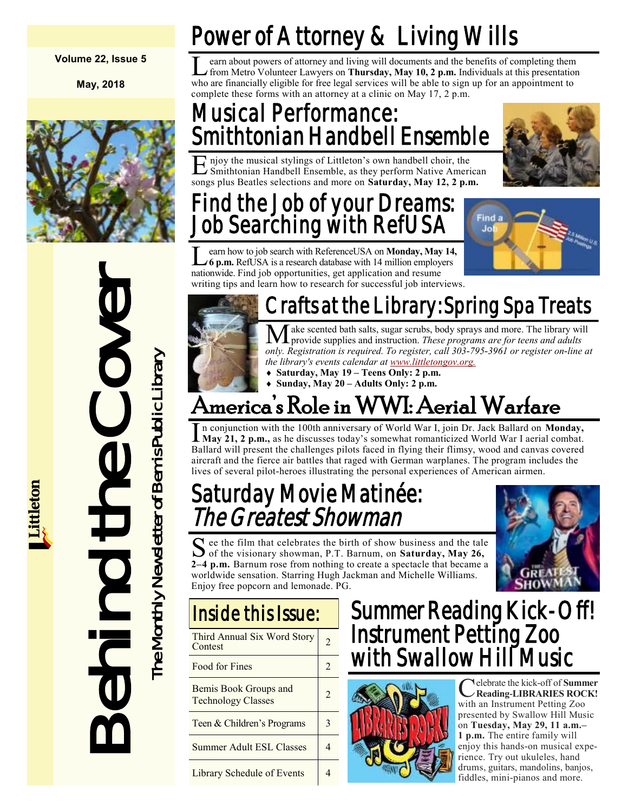#### **Volume 22, Issue 5**

**May, 2018**



# Franchistory States and Exchipitation States and Exchipitation States and Exchipitation States and Exchipitation States and Exchipitation States and Exchipitation States and Exchipitation States and Exchipitation States an

# Power of Attorney & Living Wills

Learn about powers of attorney and living will documents and the benefits of completing them<br>from Metro Volunteer Lawyers on **Thursday**, May 10, 2 p.m. Individuals at this presentation<br>who are financially eligible for free earn about powers of attorney and living will documents and the benefits of completing them from Metro Volunteer Lawyers on **Thursday, May 10, 2 p.m.** Individuals at this presentation complete these forms with an attorney at a clinic on May 17, 2 p.m.

#### Musical Performance: Smithtonian Handbell Ensemble

E Smithtonian Handbell Ensemble, as they perform Native American njoy the musical stylings of Littleton's own handbell choir, the songs plus Beatles selections and more on **Saturday, May 12, 2 p.m.**

#### Find the Job of your Dreams: Job Searching with RefUSA

**L** earn how to job search with ReferenceUSA on **Monday, May 14** 6 **p.m.** RefUSA is a research database with 14 million employers earn how to job search with ReferenceUSA on **Monday, May 14,**  nationwide. Find job opportunities, get application and resume writing tips and learn how to research for successful job interviews.





# Crafts at the Library: Spring Spa Treats

Make scented bath salts, sugar scrubs, body sprays and more. The library will provide supplies and instruction. *These programs are for teens and adults only. Registration is required. To register, call 303-795-3961 or register on-line at the library's events calendar at [www.littletongov.org.](https://www.littletongov.org/city-services/city-departments/bemis-library/library-events-calendar/-curm-5/-cury-2018)*

 **Saturday, May 19 – Teens Only: 2 p.m. Sunday, May 20 – Adults Only: 2 p.m.**

# America's Role in WWI: Aerial Warfare

In conjunction with the 100th anniversary of World War I, join Dr. Jack Ballard on **Monday**,<br>May 21, 2 p.m., as he discusses today's somewhat romanticized World War I aerial combat. n conjunction with the 100th anniversary of World War I, join Dr. Jack Ballard on **Monday,**  Ballard will present the challenges pilots faced in flying their flimsy, wood and canvas covered aircraft and the fierce air battles that raged with German warplanes. The program includes the lives of several pilot-heroes illustrating the personal experiences of American airmen.

#### Saturday Movie Matinée: The Greatest Showman

S ee the film that celebrates the birth of show business and the tale<br>of the visionary showman, P.T. Barnum, on Saturday, May 26, of the visionary showman, P.T. Barnum, on **Saturday, May 26, 2–4 p.m.** Barnum rose from nothing to create a spectacle that became a worldwide sensation. Starring Hugh Jackman and Michelle Williams. Enjoy free popcorn and lemonade. PG.



| Third Annual Six Word Story<br>Contest             |                |
|----------------------------------------------------|----------------|
| Food for Fines                                     | $\mathfrak{D}$ |
| Bemis Book Groups and<br><b>Technology Classes</b> | $\mathfrak{D}$ |
| Teen & Children's Programs                         | 3              |
| <b>Summer Adult ESL Classes</b>                    |                |
| Library Schedule of Events                         |                |

#### Summer Reading Kick-Off! Instrument Petting Zoo with Swallow Hill Music



Celebrate the kick-off of Summer<br>Reading-LIBRARIES ROCK! elebrate the kick-off of **Summer**  with an Instrument Petting Zoo presented by Swallow Hill Music on **Tuesday, May 29, 11 a.m.– 1 p.m.** The entire family will enjoy this hands-on musical experience. Try out ukuleles, hand drums, guitars, mandolins, banjos, fiddles, mini-pianos and more.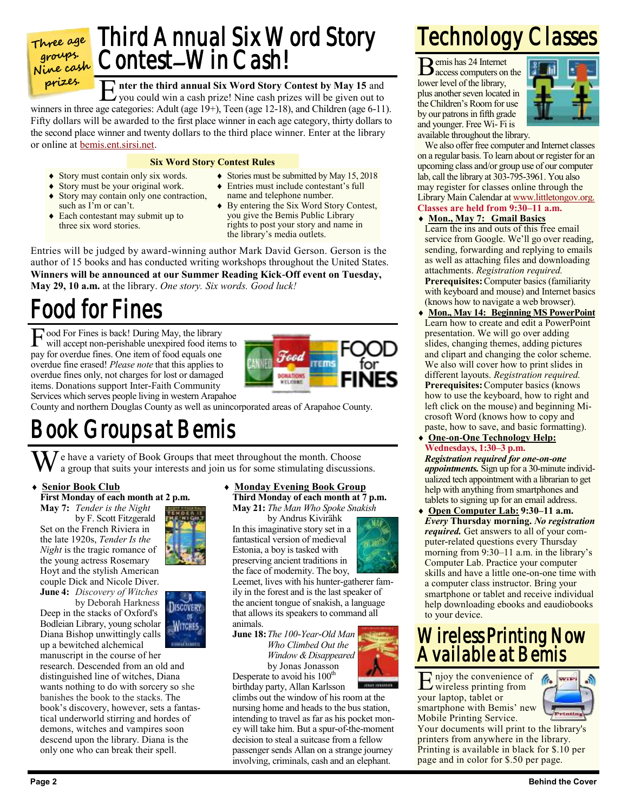

**prizes.**

E nter the third annual Six Word Story Contest by May 15 and you could win a cash prize! Nine cash prizes will be given out to

you could win a cash prize! Nine cash prizes will be given out to winners in three age categories: Adult (age 19+), Teen (age 12-18), and Children (age 6-11). Fifty dollars will be awarded to the first place winner in each age category, thirty dollars to the second place winner and twenty dollars to the third place winner. Enter at the library or online at [bemis.ent.sirsi.net.](https://bemis.ent.sirsi.net/client/en_US/default/?)

#### **Six Word Story Contest Rules**

- Story must contain only six words.
- Story must be your original work.
- Story may contain only one contraction, such as I'm or can't.
- Each contestant may submit up to three six word stories.
- Stories must be submitted by May 15, 2018
- Entries must include contestant's full name and telephone number.
- By entering the Six Word Story Contest, you give the Bemis Public Library rights to post your story and name in the library's media outlets.

Entries will be judged by award-winning author Mark David Gerson. Gerson is the author of 15 books and has conducted writing workshops throughout the United States. **Winners will be announced at our Summer Reading Kick-Off event on Tuesday, May 29, 10 a.m.** at the library. *One story. Six words. Good luck!*

## Food for Fines

Food For Fines is back! During May, the library<br>will accept non-perishable unexpired food items will accept non-perishable unexpired food items to pay for overdue fines. One item of food equals one overdue fine erased! *Please note* that this applies to overdue fines only, not charges for lost or damaged items. Donations support Inter-Faith Community



Services which serves people living in western Arapahoe

County and northern Douglas County as well as unincorporated areas of Arapahoe County.

#### Book Groups at Bemis

 $\overline{J}$  e have a variety of Book Groups that meet throughout the month. Choose a group that suits your interests and join us for some stimulating discussions.

#### **Senior Book Club First Monday of each month at 2 p.m.**

**May 7:** *Tender is the Night* by F. Scott Fitzgerald Set on the French Riviera in the late 1920s, *Tender Is the Night* is the tragic romance of the young actress Rosemary Hoyt and the stylish American couple Dick and Nicole Diver. **June 4:** *Discovery of Witches*

by Deborah Harkness Deep in the stacks of Oxford's Bodleian Library, young scholar Diana Bishop unwittingly calls up a bewitched alchemical

manuscript in the course of her research. Descended from an old and distinguished line of witches, Diana wants nothing to do with sorcery so she banishes the book to the stacks. The book's discovery, however, sets a fantastical underworld stirring and hordes of demons, witches and vampires soon descend upon the library. Diana is the only one who can break their spell.

 **Monday Evening Book Group Third Monday of each month at 7 p.m. May 21:** *The Man Who Spoke Snakish*

by Andrus Kivirähk In this imaginative story set in a fantastical version of medieval Estonia, a boy is tasked with preserving ancient traditions in



the face of modernity. The boy, Leemet, lives with his hunter-gatherer family in the forest and is the last speaker of the ancient tongue of snakish, a language that allows its speakers to command all animals.

**June 18:***The 100-Year-Old Man Who Climbed Out the Window & Disappeared* by Jonas Jonasson

Desperate to avoid his  $100<sup>th</sup>$ birthday party, Allan Karlsson

climbs out the window of his room at the nursing home and heads to the bus station, intending to travel as far as his pocket money will take him. But a spur-of-the-moment decision to steal a suitcase from a fellow passenger sends Allan on a strange journey involving, criminals, cash and an elephant.

## Technology Classes

Bemis has 24 Internet access computers on the lower level of the library, plus another seven located in the Children's Room for use by our patrons in fifth grade and younger. Free Wi- Fi is



available throughout the library.

We also offer free computer and Internet classes on a regular basis. To learn about or register for an upcoming class and/or group use of our computer lab, call the library at 303-795-3961. You also may register for classes online through the Library Main Calendar at [www.littletongov.org.](https://www.littletongov.org/city-services/city-departments/bemis-library/library-events-calendar/-selcat-157/-curm-5/-cury-2018) **Classes are held from 9:30–11 a.m.**

#### **Mon., May 7: Gmail Basics**

Learn the ins and outs of this free email service from Google. We'll go over reading, sending, forwarding and replying to emails as well as attaching files and downloading attachments. *Registration required.* **Prerequisites:**Computer basics (familiarity with keyboard and mouse) and Internet basics (knows how to navigate a web browser).

 **Mon., May 14: Beginning MS PowerPoint** Learn how to create and edit a PowerPoint presentation. We will go over adding slides, changing themes, adding pictures and clipart and changing the color scheme. We also will cover how to print slides in different layouts. *Registration required.* **Prerequisites:**Computer basics (knows how to use the keyboard, how to right and left click on the mouse) and beginning Microsoft Word (knows how to copy and paste, how to save, and basic formatting).

 **One-on-One Technology Help: Wednesdays, 1:30–3 p.m.** *Registration required for one-on-one*

*appointments.* Sign up for a 30-minute individualized tech appointment with a librarian to get help with anything from smartphones and tablets to signing up for an email address.

 **Open Computer Lab: 9:30–11 a.m.** *Every* **Thursday morning.** *No registration required.* Get answers to all of your computer-related questions every Thursday morning from 9:30–11 a.m. in the library's Computer Lab. Practice your computer skills and have a little one-on-one time with a computer class instructor. Bring your smartphone or tablet and receive individual help downloading ebooks and eaudiobooks to your device.

#### Wireless Printing Now Available at Bemis

E njoy the convenience of wireless printing from your laptop, tablet or smartphone with Bemis' new Mobile Printing Service.



Your documents will print to the library's printers from anywhere in the library. Printing is available in black for \$.10 per page and in color for \$.50 per page.



**JISCOVERY** or WITCHES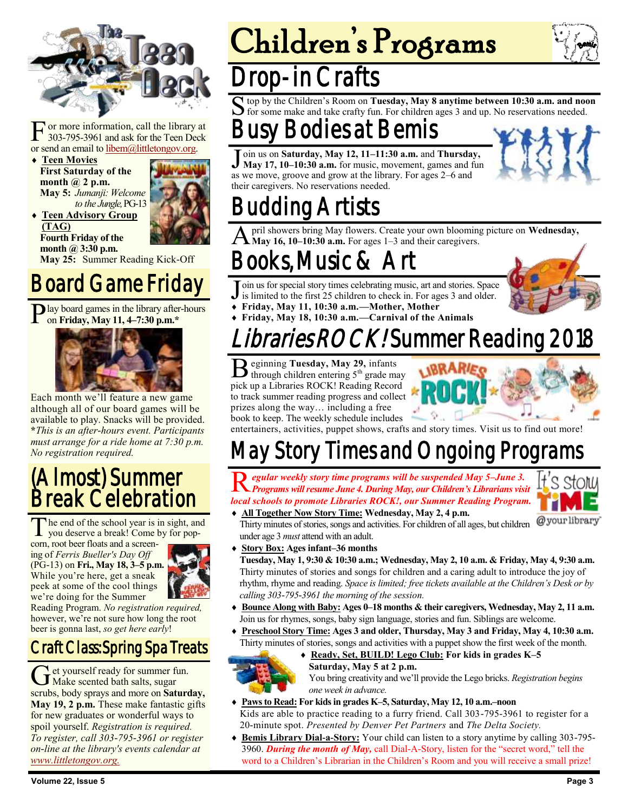

F or more information, call the library at 303-795-3961 and ask for the Teen Deck or send an email to [libem@littletongov.org.](mailto:libem@littletongov.org.)

 **Teen Movies First Saturday of the month @ 2 p.m. May 5:** *Jumanji: Welcome to the Jungle,* PG-13

**Teen Advisory Group** 



**(TAG) Fourth Friday of the month @ 3:30 p.m.**

**May 25:** Summer Reading Kick-Off

#### Board Game Friday

Play board games in the library after-hours<br>on Friday, May 11, 4–7:30 p.m.\* on **Friday, May 11, 4–7:30 p.m.\***



Each month we'll feature a new game although all of our board games will be available to play. Snacks will be provided. **\****This is an after-hours event. Participants must arrange for a ride home at 7:30 p.m. No registration required.*

#### (Almost) Summer Break Celebration

The end of the school year is in sight, an you deserve a break! Come by for pophe end of the school year is in sight, and

corn, root beer floats and a screening of *Ferris Bueller's Day Off*  (PG-13) on **Fri., May 18, 3–5 p.m.** While you're here, get a sneak peek at some of the cool things we're doing for the Summer



Reading Program. *No registration required,*  however, we're not sure how long the root beer is gonna last, *so get here early*!

#### Craft Class: Spring Spa Treats

Get yourself ready for summer fused bath salts, sugar et yourself ready for summer fun. scrubs, body sprays and more on **Saturday, May 19, 2 p.m.** These make fantastic gifts for new graduates or wonderful ways to spoil yourself. *Registration is required. To register, call 303-795-3961 or register on-line at the library's events calendar at [www.littletongov.org.](https://www.littletongov.org/city-services/city-departments/bemis-library/library-events-calendar/-curm-5/-cury-2018/-selcat-97)*

# Children's Programs





#### op-in Crafts

S top by the Children's Room on Tuesday, May 8 anytime between 10:30 a.m. and not for some make and take crafty fun. For children ages 3 and up. No reservations needed. top by the Children's Room on **Tuesday, May 8 anytime between 10:30 a.m. and noon** 

## **Bodies at Bemis**

 $\overline{\mathsf{J}}$ oin us on **Saturday, May 12, 11–11:30 a.m.** and **Thursday, May 17, 10–10:30 a.m.** for music, movement, games and fun as we move, groove and grow at the library. For ages 2–6 and their caregivers. No reservations needed.



# Budding Artists

A pril showers bring May flowers. Create your own blooming picture on **Wednesday, May 16, 10–10:30 a.m.** For ages 1–3 and their caregivers.

## Books, Music & Art

Join us for special story times celebrating music, art and stories. Space is limited to the first 25 children to check in. For ages 3 and older.

- is limited to the first 25 children to check in. For ages 3 and older. **Friday, May 11, 10:30 a.m.—Mother, Mother**
- **Friday, May 18, 10:30 a.m.—Carnival of the Animals**

## braries ROCK! Summer Reading 2018

B eginning **Tuesday, May 29,** infants through children entering 5<sup>th</sup> grade may pick up a Libraries ROCK! Reading Record to track summer reading progress and collect prizes along the way… including a free book to keep. The weekly schedule includes



entertainers, activities, puppet shows, crafts and story times. Visit us to find out more!

## May Story Times and Ongoing Programs

R *Programs will resume June 4. During May, our Children's Librarians visit egular weekly story time programs will be suspended May 5–June 3. local schools to promote Libraries ROCK!, our Summer Reading Program.* **All Together Now Story Time: Wednesday, May 2, 4 p.m.**



@yourlibrary Thirty minutes of stories, songs and activities. For children of all ages, but children under age 3 *must* attend with an adult.

**Story Box: Ages infant–36 months**

**Tuesday, May 1, 9:30 & 10:30 a.m.; Wednesday, May 2, 10 a.m. & Friday, May 4, 9:30 a.m.** Thirty minutes of stories and songs for children and a caring adult to introduce the joy of rhythm, rhyme and reading. *Space is limited; free tickets available at the Children's Desk or by calling 303-795-3961 the morning of the session.*

- **Bounce Along with Baby: Ages 0–18 months & their caregivers, Wednesday, May 2, 11 a.m.** Join us for rhymes, songs, baby sign language, stories and fun. Siblings are welcome.
- **Preschool Story Time: Ages 3 and older, Thursday, May 3 and Friday, May 4, 10:30 a.m.** Thirty minutes of stories, songs and activities with a puppet show the first week of the month.
- **Ready, Set, BUILD! Lego Club: For kids in grades K–5 Saturday, May 5 at 2 p.m.**
	- You bring creativity and we'll provide the Lego bricks. *Registration begins one week in advance.*
- **Paws to Read: For kids in grades K–5, Saturday, May 12, 10 a.m.–noon** Kids are able to practice reading to a furry friend. Call 303-795-3961 to register for a 20-minute spot. *Presented by Denver Pet Partners* and *The Delta Society.*
- **Bemis Library Dial-a-Story:** Your child can listen to a story anytime by calling 303-795- 3960. *During the month of May,* call Dial-A-Story, listen for the "secret word," tell the word to a Children's Librarian in the Children's Room and you will receive a small prize!